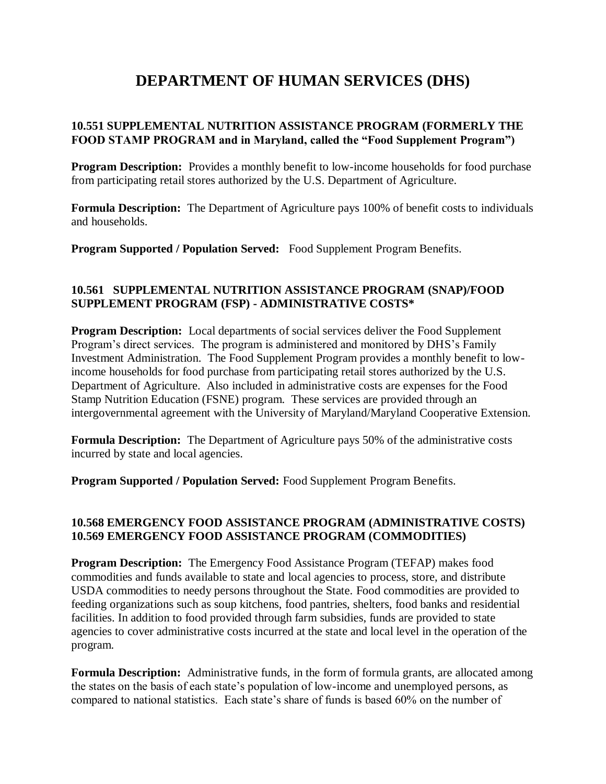# **DEPARTMENT OF HUMAN SERVICES (DHS)**

## **10.551 SUPPLEMENTAL NUTRITION ASSISTANCE PROGRAM (FORMERLY THE FOOD STAMP PROGRAM and in Maryland, called the "Food Supplement Program")**

**Program Description:** Provides a monthly benefit to low-income households for food purchase from participating retail stores authorized by the U.S. Department of Agriculture.

**Formula Description:** The Department of Agriculture pays 100% of benefit costs to individuals and households.

**Program Supported / Population Served:** Food Supplement Program Benefits.

## **10.561 SUPPLEMENTAL NUTRITION ASSISTANCE PROGRAM (SNAP)/FOOD SUPPLEMENT PROGRAM (FSP) - ADMINISTRATIVE COSTS\***

**Program Description:** Local departments of social services deliver the Food Supplement Program's direct services. The program is administered and monitored by DHS's Family Investment Administration. The Food Supplement Program provides a monthly benefit to lowincome households for food purchase from participating retail stores authorized by the U.S. Department of Agriculture. Also included in administrative costs are expenses for the Food Stamp Nutrition Education (FSNE) program. These services are provided through an intergovernmental agreement with the University of Maryland/Maryland Cooperative Extension.

**Formula Description:** The Department of Agriculture pays 50% of the administrative costs incurred by state and local agencies.

**Program Supported / Population Served:** Food Supplement Program Benefits.

#### **10.568 EMERGENCY FOOD ASSISTANCE PROGRAM (ADMINISTRATIVE COSTS) 10.569 EMERGENCY FOOD ASSISTANCE PROGRAM (COMMODITIES)**

**Program Description:** The Emergency Food Assistance Program (TEFAP) makes food commodities and funds available to state and local agencies to process, store, and distribute USDA commodities to needy persons throughout the State. Food commodities are provided to feeding organizations such as soup kitchens, food pantries, shelters, food banks and residential facilities. In addition to food provided through farm subsidies, funds are provided to state agencies to cover administrative costs incurred at the state and local level in the operation of the program.

**Formula Description:** Administrative funds, in the form of formula grants, are allocated among the states on the basis of each state's population of low-income and unemployed persons, as compared to national statistics. Each state's share of funds is based 60% on the number of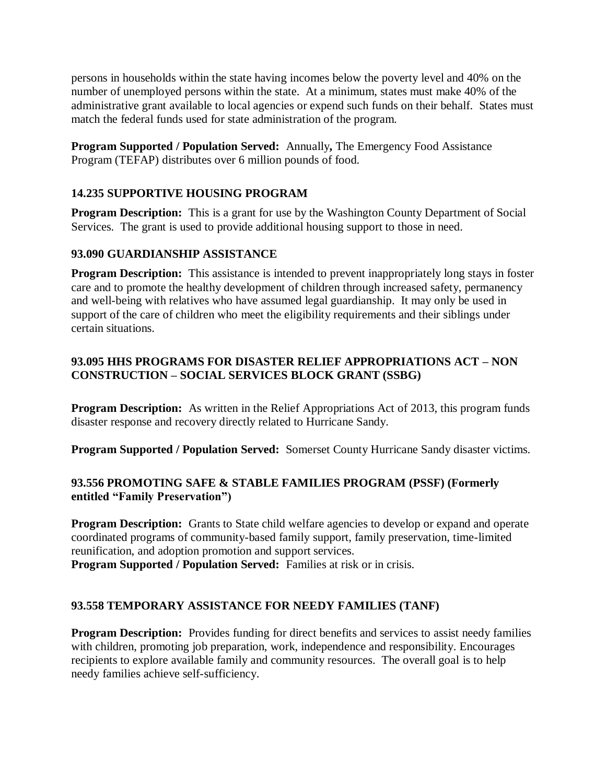persons in households within the state having incomes below the poverty level and 40% on the number of unemployed persons within the state. At a minimum, states must make 40% of the administrative grant available to local agencies or expend such funds on their behalf. States must match the federal funds used for state administration of the program.

**Program Supported / Population Served:** Annually**,** The Emergency Food Assistance Program (TEFAP) distributes over 6 million pounds of food.

## **14.235 SUPPORTIVE HOUSING PROGRAM**

**Program Description:** This is a grant for use by the Washington County Department of Social Services. The grant is used to provide additional housing support to those in need.

#### **93.090 GUARDIANSHIP ASSISTANCE**

**Program Description:** This assistance is intended to prevent inappropriately long stays in foster care and to promote the healthy development of children through increased safety, permanency and well-being with relatives who have assumed legal guardianship. It may only be used in support of the care of children who meet the eligibility requirements and their siblings under certain situations.

## **93.095 HHS PROGRAMS FOR DISASTER RELIEF APPROPRIATIONS ACT – NON CONSTRUCTION – SOCIAL SERVICES BLOCK GRANT (SSBG)**

**Program Description:** As written in the Relief Appropriations Act of 2013, this program funds disaster response and recovery directly related to Hurricane Sandy.

**Program Supported / Population Served:** Somerset County Hurricane Sandy disaster victims.

#### **93.556 PROMOTING SAFE & STABLE FAMILIES PROGRAM (PSSF) (Formerly entitled "Family Preservation")**

**Program Description:** Grants to State child welfare agencies to develop or expand and operate coordinated programs of community-based family support, family preservation, time-limited reunification, and adoption promotion and support services.

**Program Supported / Population Served:** Families at risk or in crisis.

#### **93.558 TEMPORARY ASSISTANCE FOR NEEDY FAMILIES (TANF)**

**Program Description:** Provides funding for direct benefits and services to assist needy families with children, promoting job preparation, work, independence and responsibility. Encourages recipients to explore available family and community resources. The overall goal is to help needy families achieve self-sufficiency.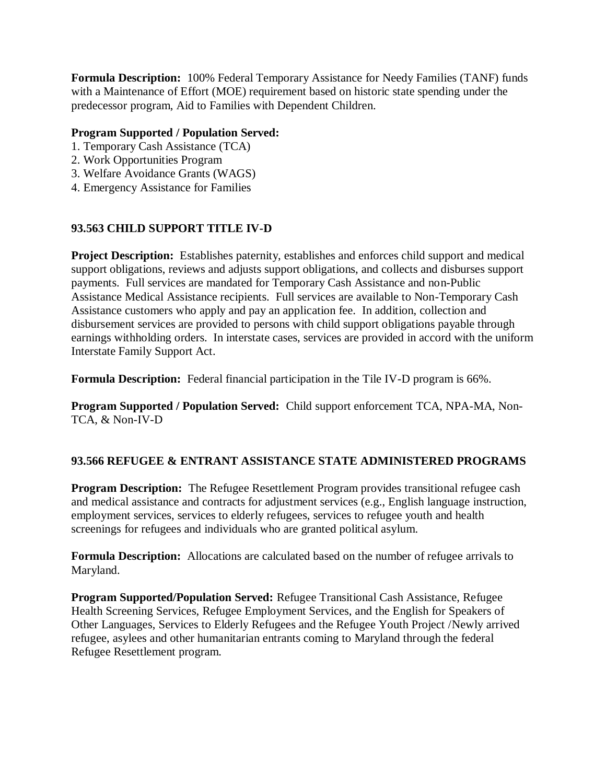**Formula Description:** 100% Federal Temporary Assistance for Needy Families (TANF) funds with a Maintenance of Effort (MOE) requirement based on historic state spending under the predecessor program, Aid to Families with Dependent Children.

## **Program Supported / Population Served:**

- 1. Temporary Cash Assistance (TCA)
- 2. Work Opportunities Program
- 3. Welfare Avoidance Grants (WAGS)
- 4. Emergency Assistance for Families

# **93.563 CHILD SUPPORT TITLE IV-D**

**Project Description:** Establishes paternity, establishes and enforces child support and medical support obligations, reviews and adjusts support obligations, and collects and disburses support payments. Full services are mandated for Temporary Cash Assistance and non-Public Assistance Medical Assistance recipients. Full services are available to Non-Temporary Cash Assistance customers who apply and pay an application fee. In addition, collection and disbursement services are provided to persons with child support obligations payable through earnings withholding orders. In interstate cases, services are provided in accord with the uniform Interstate Family Support Act.

**Formula Description:** Federal financial participation in the Tile IV-D program is 66%.

**Program Supported / Population Served:** Child support enforcement TCA, NPA-MA, Non-TCA, & Non-IV-D

# **93.566 REFUGEE & ENTRANT ASSISTANCE STATE ADMINISTERED PROGRAMS**

**Program Description:** The Refugee Resettlement Program provides transitional refugee cash and medical assistance and contracts for adjustment services (e.g., English language instruction, employment services, services to elderly refugees, services to refugee youth and health screenings for refugees and individuals who are granted political asylum.

**Formula Description:** Allocations are calculated based on the number of refugee arrivals to Maryland.

**Program Supported/Population Served:** Refugee Transitional Cash Assistance, Refugee Health Screening Services, Refugee Employment Services, and the English for Speakers of Other Languages, Services to Elderly Refugees and the Refugee Youth Project /Newly arrived refugee, asylees and other humanitarian entrants coming to Maryland through the federal Refugee Resettlement program.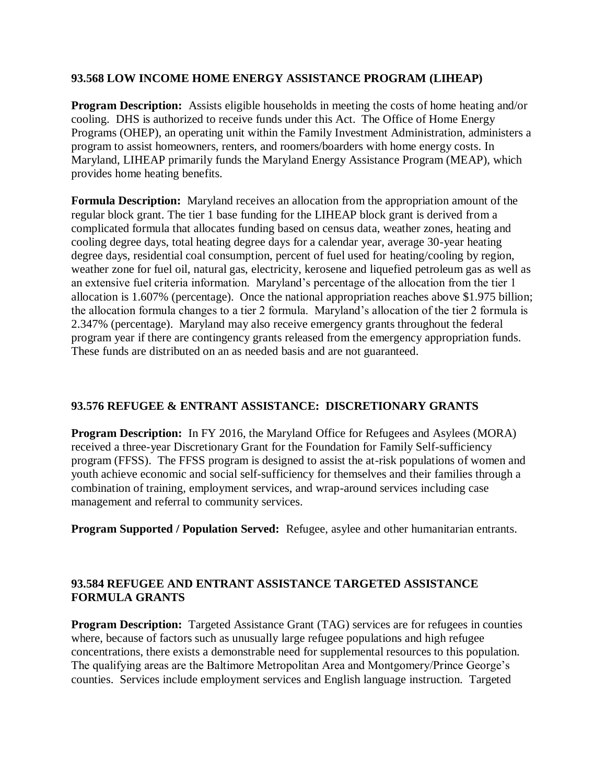#### **93.568 LOW INCOME HOME ENERGY ASSISTANCE PROGRAM (LIHEAP)**

**Program Description:** Assists eligible households in meeting the costs of home heating and/or cooling. DHS is authorized to receive funds under this Act. The Office of Home Energy Programs (OHEP), an operating unit within the Family Investment Administration, administers a program to assist homeowners, renters, and roomers/boarders with home energy costs. In Maryland, LIHEAP primarily funds the Maryland Energy Assistance Program (MEAP), which provides home heating benefits.

**Formula Description:** Maryland receives an allocation from the appropriation amount of the regular block grant. The tier 1 base funding for the LIHEAP block grant is derived from a complicated formula that allocates funding based on census data, weather zones, heating and cooling degree days, total heating degree days for a calendar year, average 30-year heating degree days, residential coal consumption, percent of fuel used for heating/cooling by region, weather zone for fuel oil, natural gas, electricity, kerosene and liquefied petroleum gas as well as an extensive fuel criteria information. Maryland's percentage of the allocation from the tier 1 allocation is 1.607% (percentage). Once the national appropriation reaches above \$1.975 billion; the allocation formula changes to a tier 2 formula. Maryland's allocation of the tier 2 formula is 2.347% (percentage). Maryland may also receive emergency grants throughout the federal program year if there are contingency grants released from the emergency appropriation funds. These funds are distributed on an as needed basis and are not guaranteed.

#### **93.576 REFUGEE & ENTRANT ASSISTANCE: DISCRETIONARY GRANTS**

**Program Description:** In FY 2016, the Maryland Office for Refugees and Asylees (MORA) received a three-year Discretionary Grant for the Foundation for Family Self-sufficiency program (FFSS). The FFSS program is designed to assist the at-risk populations of women and youth achieve economic and social self-sufficiency for themselves and their families through a combination of training, employment services, and wrap-around services including case management and referral to community services.

**Program Supported / Population Served:** Refugee, asylee and other humanitarian entrants.

#### **93.584 REFUGEE AND ENTRANT ASSISTANCE TARGETED ASSISTANCE FORMULA GRANTS**

**Program Description:** Targeted Assistance Grant (TAG) services are for refugees in counties where, because of factors such as unusually large refugee populations and high refugee concentrations, there exists a demonstrable need for supplemental resources to this population. The qualifying areas are the Baltimore Metropolitan Area and Montgomery/Prince George's counties. Services include employment services and English language instruction. Targeted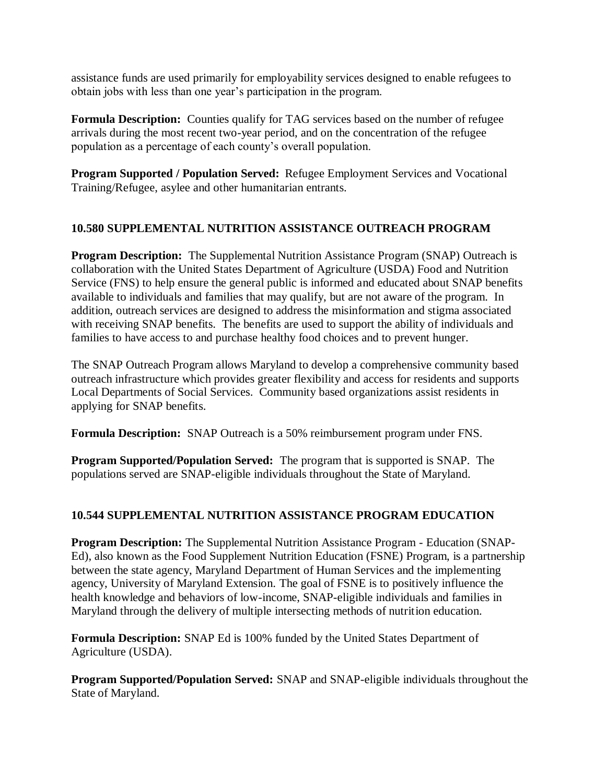assistance funds are used primarily for employability services designed to enable refugees to obtain jobs with less than one year's participation in the program.

**Formula Description:** Counties qualify for TAG services based on the number of refugee arrivals during the most recent two-year period, and on the concentration of the refugee population as a percentage of each county's overall population.

**Program Supported / Population Served:** Refugee Employment Services and Vocational Training/Refugee, asylee and other humanitarian entrants.

## **10.580 SUPPLEMENTAL NUTRITION ASSISTANCE OUTREACH PROGRAM**

**Program Description:** The Supplemental Nutrition Assistance Program (SNAP) Outreach is collaboration with the United States Department of Agriculture (USDA) Food and Nutrition Service (FNS) to help ensure the general public is informed and educated about SNAP benefits available to individuals and families that may qualify, but are not aware of the program. In addition, outreach services are designed to address the misinformation and stigma associated with receiving SNAP benefits. The benefits are used to support the ability of individuals and families to have access to and purchase healthy food choices and to prevent hunger.

The SNAP Outreach Program allows Maryland to develop a comprehensive community based outreach infrastructure which provides greater flexibility and access for residents and supports Local Departments of Social Services. Community based organizations assist residents in applying for SNAP benefits.

**Formula Description:** SNAP Outreach is a 50% reimbursement program under FNS.

**Program Supported/Population Served:** The program that is supported is SNAP. The populations served are SNAP-eligible individuals throughout the State of Maryland.

# **10.544 SUPPLEMENTAL NUTRITION ASSISTANCE PROGRAM EDUCATION**

**Program Description:** The Supplemental Nutrition Assistance Program - Education (SNAP-Ed), also known as the Food Supplement Nutrition Education (FSNE) Program, is a partnership between the state agency, Maryland Department of Human Services and the implementing agency, University of Maryland Extension. The goal of FSNE is to positively influence the health knowledge and behaviors of low-income, SNAP-eligible individuals and families in Maryland through the delivery of multiple intersecting methods of nutrition education.

**Formula Description:** SNAP Ed is 100% funded by the United States Department of Agriculture (USDA).

**Program Supported/Population Served:** SNAP and SNAP-eligible individuals throughout the State of Maryland.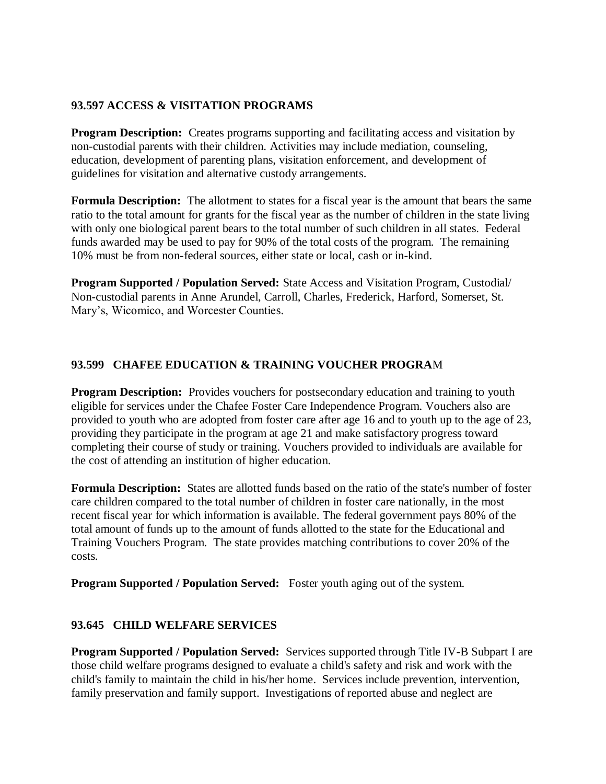#### **93.597 ACCESS & VISITATION PROGRAMS**

**Program Description:** Creates programs supporting and facilitating access and visitation by non-custodial parents with their children. Activities may include mediation, counseling, education, development of parenting plans, visitation enforcement, and development of guidelines for visitation and alternative custody arrangements.

**Formula Description:** The allotment to states for a fiscal year is the amount that bears the same ratio to the total amount for grants for the fiscal year as the number of children in the state living with only one biological parent bears to the total number of such children in all states. Federal funds awarded may be used to pay for 90% of the total costs of the program. The remaining 10% must be from non-federal sources, either state or local, cash or in-kind.

**Program Supported / Population Served:** State Access and Visitation Program, Custodial/ Non-custodial parents in Anne Arundel, Carroll, Charles, Frederick, Harford, Somerset, St. Mary's, Wicomico, and Worcester Counties.

## **93.599 CHAFEE EDUCATION & TRAINING VOUCHER PROGRA**M

**Program Description:** Provides vouchers for postsecondary education and training to youth eligible for services under the Chafee Foster Care Independence Program. Vouchers also are provided to youth who are adopted from foster care after age 16 and to youth up to the age of 23, providing they participate in the program at age 21 and make satisfactory progress toward completing their course of study or training. Vouchers provided to individuals are available for the cost of attending an institution of higher education.

**Formula Description:** States are allotted funds based on the ratio of the state's number of foster care children compared to the total number of children in foster care nationally, in the most recent fiscal year for which information is available. The federal government pays 80% of the total amount of funds up to the amount of funds allotted to the state for the Educational and Training Vouchers Program. The state provides matching contributions to cover 20% of the costs.

**Program Supported / Population Served:** Foster youth aging out of the system.

#### **93.645 CHILD WELFARE SERVICES**

**Program Supported / Population Served:** Services supported through Title IV-B Subpart I are those child welfare programs designed to evaluate a child's safety and risk and work with the child's family to maintain the child in his/her home. Services include prevention, intervention, family preservation and family support. Investigations of reported abuse and neglect are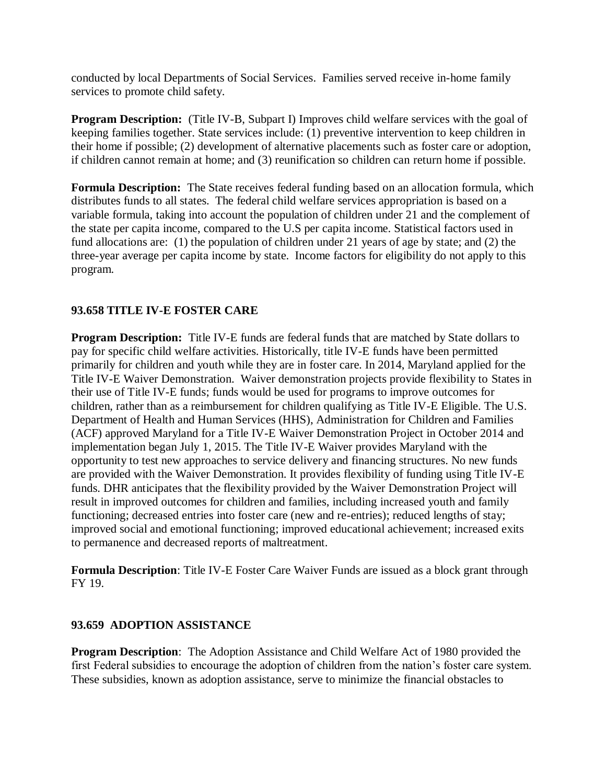conducted by local Departments of Social Services. Families served receive in-home family services to promote child safety.

**Program Description:** (Title IV-B, Subpart I) Improves child welfare services with the goal of keeping families together. State services include: (1) preventive intervention to keep children in their home if possible; (2) development of alternative placements such as foster care or adoption, if children cannot remain at home; and (3) reunification so children can return home if possible.

**Formula Description:** The State receives federal funding based on an allocation formula, which distributes funds to all states. The federal child welfare services appropriation is based on a variable formula, taking into account the population of children under 21 and the complement of the state per capita income, compared to the U.S per capita income. Statistical factors used in fund allocations are: (1) the population of children under 21 years of age by state; and (2) the three-year average per capita income by state. Income factors for eligibility do not apply to this program.

## **93.658 TITLE IV-E FOSTER CARE**

**Program Description:** Title IV-E funds are federal funds that are matched by State dollars to pay for specific child welfare activities. Historically, title IV-E funds have been permitted primarily for children and youth while they are in foster care. In 2014, Maryland applied for the Title IV-E Waiver Demonstration. Waiver demonstration projects provide flexibility to States in their use of Title IV-E funds; funds would be used for programs to improve outcomes for children, rather than as a reimbursement for children qualifying as Title IV-E Eligible. The U.S. Department of Health and Human Services (HHS), Administration for Children and Families (ACF) approved Maryland for a Title IV-E Waiver Demonstration Project in October 2014 and implementation began July 1, 2015. The Title IV-E Waiver provides Maryland with the opportunity to test new approaches to service delivery and financing structures. No new funds are provided with the Waiver Demonstration. It provides flexibility of funding using Title IV-E funds. DHR anticipates that the flexibility provided by the Waiver Demonstration Project will result in improved outcomes for children and families, including increased youth and family functioning; decreased entries into foster care (new and re-entries); reduced lengths of stay; improved social and emotional functioning; improved educational achievement; increased exits to permanence and decreased reports of maltreatment.

**Formula Description**: Title IV-E Foster Care Waiver Funds are issued as a block grant through FY 19.

#### **93.659 ADOPTION ASSISTANCE**

**Program Description**: The Adoption Assistance and Child Welfare Act of 1980 provided the first Federal subsidies to encourage the adoption of children from the nation's foster care system. These subsidies, known as adoption assistance, serve to minimize the financial obstacles to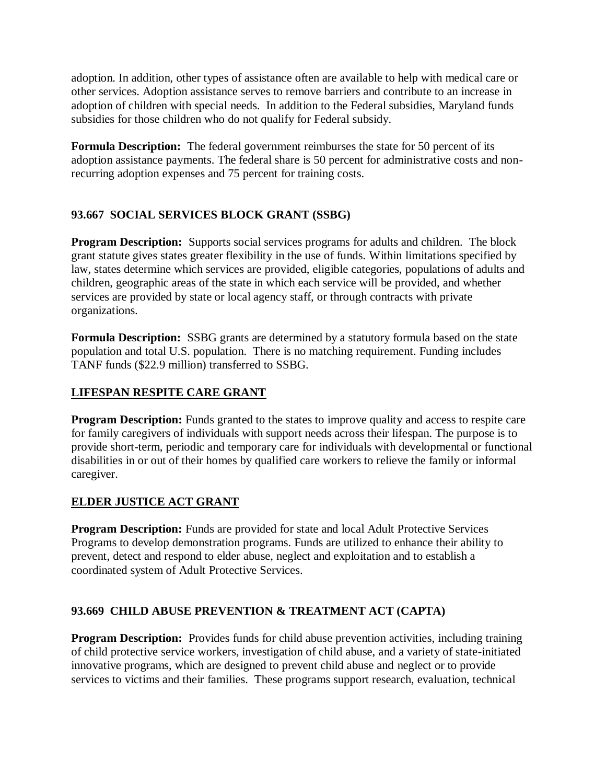adoption. In addition, other types of assistance often are available to help with medical care or other services. Adoption assistance serves to remove barriers and contribute to an increase in adoption of children with special needs. In addition to the Federal subsidies, Maryland funds subsidies for those children who do not qualify for Federal subsidy.

**Formula Description:** The federal government reimburses the state for 50 percent of its adoption assistance payments. The federal share is 50 percent for administrative costs and nonrecurring adoption expenses and 75 percent for training costs.

# **93.667 SOCIAL SERVICES BLOCK GRANT (SSBG)**

**Program Description:** Supports social services programs for adults and children. The block grant statute gives states greater flexibility in the use of funds. Within limitations specified by law, states determine which services are provided, eligible categories, populations of adults and children, geographic areas of the state in which each service will be provided, and whether services are provided by state or local agency staff, or through contracts with private organizations.

**Formula Description:** SSBG grants are determined by a statutory formula based on the state population and total U.S. population. There is no matching requirement. Funding includes TANF funds (\$22.9 million) transferred to SSBG.

# **LIFESPAN RESPITE CARE GRANT**

**Program Description:** Funds granted to the states to improve quality and access to respite care for family caregivers of individuals with support needs across their lifespan. The purpose is to provide short-term, periodic and temporary care for individuals with developmental or functional disabilities in or out of their homes by qualified care workers to relieve the family or informal caregiver.

# **ELDER JUSTICE ACT GRANT**

**Program Description:** Funds are provided for state and local Adult Protective Services Programs to develop demonstration programs. Funds are utilized to enhance their ability to prevent, detect and respond to elder abuse, neglect and exploitation and to establish a coordinated system of Adult Protective Services.

# **93.669 CHILD ABUSE PREVENTION & TREATMENT ACT (CAPTA)**

**Program Description:** Provides funds for child abuse prevention activities, including training of child protective service workers, investigation of child abuse, and a variety of state-initiated innovative programs, which are designed to prevent child abuse and neglect or to provide services to victims and their families. These programs support research, evaluation, technical